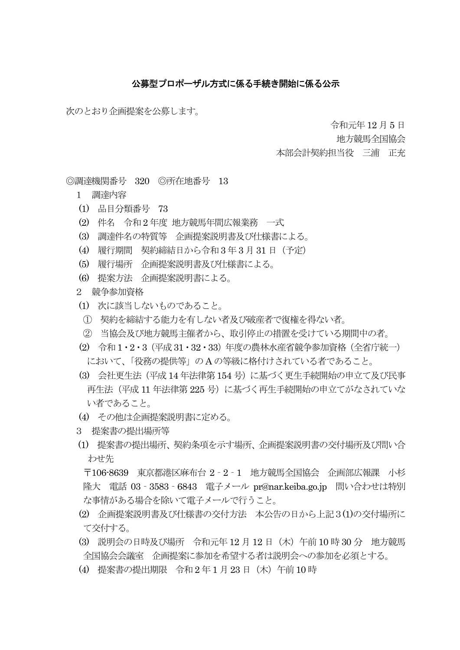## 公募型プロポーザル方式に係る手続き開始に係る公示

次のとおり企画提案を公募します。

令和元年 12 月 5 日

地方競馬全国協会

本部会計契約担当役 三浦 正充

◎調達機関番号 320 ◎所在地番号 13

- 1 調達内容
- (1) 品目分類番号 73
- (2) 件名 令和2 年度 地方競馬年間広報業務 一式
- (3) 調達件名の特質等 企画提案説明書及び仕様書による。
- (4) 履行期間 契約締結日から令和3 年 3 月31 日(予定)
- (5) 履行場所 企画提案説明書及び仕様書による。
- (6) 提案方法 企画提案説明書による。
- 2 競争参加資格
- (1) 次に該当しないものであること。
- ① 契約を締結する能力を有しない者及び破産者で復権を得ない者。
- ② 当協会及び地方競馬主催者から、取引停止の措置を受けている期間中の者。
- (2) 令和1・2・3(平成31・32・33)年度の農林水産省競争参加資格(全省庁統一) において、「役務の提供等」の A の等級に格付けされている者であること。
- (3) 会社更生法(平成14 年法律第154 号)に基づく更生手続開始の申立て及び民事 再生法(平成 11 年法律第 225 号)に基づく再生手続開始の申立てがなされていな い者であること。
- (4) その他は企画提案説明書に定める。
- 3 提案書の提出場所等
- (1) 提案書の提出場所、契約条項を示す場所、企画提案説明書の交付場所及び問い合 わせ先

 〒106-8639 東京都港区麻布台 2‐2‐1 地方競馬全国協会 企画部広報課 小杉 隆大 電話 03‐3583‐6843 電子メール pr@nar.keiba.go.jp 問い合わせは特別 な事情がある場合を除いて電子メールで行うこと。

- (2) 企画提案説明書及び仕様書の交付方法 本公告の日から上記3(1)の交付場所に て交付する。
- (3) 説明会の日時及び場所 令和元年 12 月 12 日(木)午前 10 時 30 分 地方競馬 全国協会会議室 企画提案に参加を希望する者は説明会への参加を必須とする。
- (4) 提案書の提出期限 令和 2 年1 月23 日(木)午前 10 時